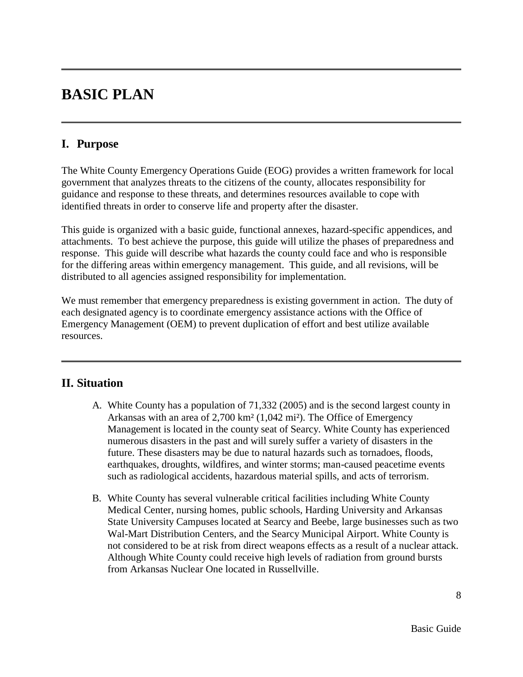# **BASIC PLAN**

## **I. Purpose**

The White County Emergency Operations Guide (EOG) provides a written framework for local government that analyzes threats to the citizens of the county, allocates responsibility for guidance and response to these threats, and determines resources available to cope with identified threats in order to conserve life and property after the disaster.

This guide is organized with a basic guide, functional annexes, hazard-specific appendices, and attachments. To best achieve the purpose, this guide will utilize the phases of preparedness and response. This guide will describe what hazards the county could face and who is responsible for the differing areas within emergency management. This guide, and all revisions, will be distributed to all agencies assigned responsibility for implementation.

We must remember that emergency preparedness is existing government in action. The duty of each designated agency is to coordinate emergency assistance actions with the Office of Emergency Management (OEM) to prevent duplication of effort and best utilize available resources.

## **II. Situation**

- A. White County has a population of 71,332 (2005) and is the second largest county in Arkansas with an area of 2,700 km² (1,042 mi²). The Office of Emergency Management is located in the county seat of Searcy. White County has experienced numerous disasters in the past and will surely suffer a variety of disasters in the future. These disasters may be due to natural hazards such as tornadoes, floods, earthquakes, droughts, wildfires, and winter storms; man-caused peacetime events such as radiological accidents, hazardous material spills, and acts of terrorism.
- B. White County has several vulnerable critical facilities including White County Medical Center, nursing homes, public schools, Harding University and Arkansas State University Campuses located at Searcy and Beebe, large businesses such as two Wal-Mart Distribution Centers, and the Searcy Municipal Airport. White County is not considered to be at risk from direct weapons effects as a result of a nuclear attack. Although White County could receive high levels of radiation from ground bursts from Arkansas Nuclear One located in Russellville.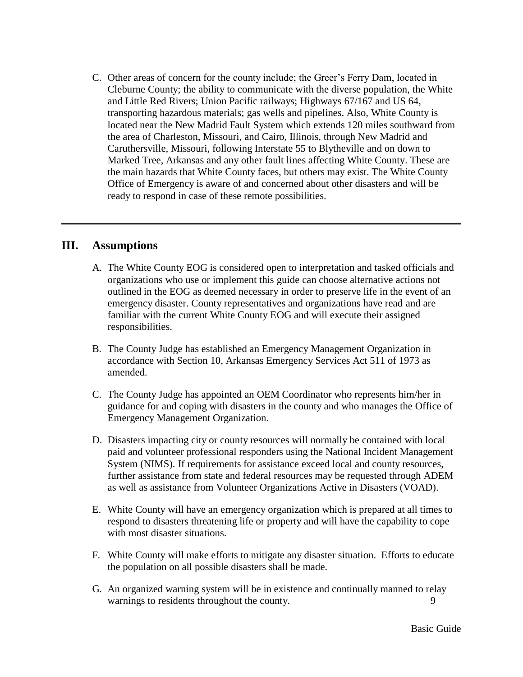C. Other areas of concern for the county include; the Greer's Ferry Dam, located in Cleburne County; the ability to communicate with the diverse population, the White and Little Red Rivers; Union Pacific railways; Highways 67/167 and US 64, transporting hazardous materials; gas wells and pipelines. Also, White County is located near the New Madrid Fault System which extends 120 miles southward from the area of Charleston, Missouri, and Cairo, Illinois, through New Madrid and Caruthersville, Missouri, following Interstate 55 to Blytheville and on down to Marked Tree, Arkansas and any other fault lines affecting White County. These are the main hazards that White County faces, but others may exist. The White County Office of Emergency is aware of and concerned about other disasters and will be ready to respond in case of these remote possibilities.

#### **III. Assumptions**

- A. The White County EOG is considered open to interpretation and tasked officials and organizations who use or implement this guide can choose alternative actions not outlined in the EOG as deemed necessary in order to preserve life in the event of an emergency disaster. County representatives and organizations have read and are familiar with the current White County EOG and will execute their assigned responsibilities.
- B. The County Judge has established an Emergency Management Organization in accordance with Section 10, Arkansas Emergency Services Act 511 of 1973 as amended.
- C. The County Judge has appointed an OEM Coordinator who represents him/her in guidance for and coping with disasters in the county and who manages the Office of Emergency Management Organization.
- D. Disasters impacting city or county resources will normally be contained with local paid and volunteer professional responders using the National Incident Management System (NIMS). If requirements for assistance exceed local and county resources, further assistance from state and federal resources may be requested through ADEM as well as assistance from Volunteer Organizations Active in Disasters (VOAD).
- E. White County will have an emergency organization which is prepared at all times to respond to disasters threatening life or property and will have the capability to cope with most disaster situations.
- F. White County will make efforts to mitigate any disaster situation. Efforts to educate the population on all possible disasters shall be made.
- G. An organized warning system will be in existence and continually manned to relay warnings to residents throughout the county.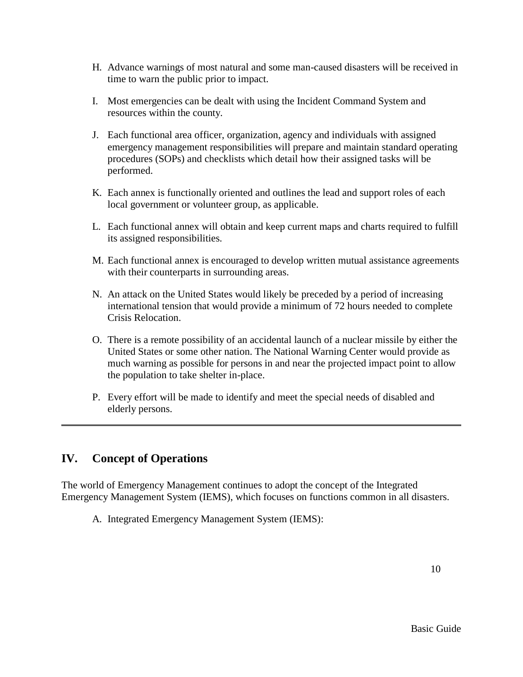- H. Advance warnings of most natural and some man-caused disasters will be received in time to warn the public prior to impact.
- I. Most emergencies can be dealt with using the Incident Command System and resources within the county.
- J. Each functional area officer, organization, agency and individuals with assigned emergency management responsibilities will prepare and maintain standard operating procedures (SOPs) and checklists which detail how their assigned tasks will be performed.
- K. Each annex is functionally oriented and outlines the lead and support roles of each local government or volunteer group, as applicable.
- L. Each functional annex will obtain and keep current maps and charts required to fulfill its assigned responsibilities.
- M. Each functional annex is encouraged to develop written mutual assistance agreements with their counterparts in surrounding areas.
- N. An attack on the United States would likely be preceded by a period of increasing international tension that would provide a minimum of 72 hours needed to complete Crisis Relocation.
- O. There is a remote possibility of an accidental launch of a nuclear missile by either the United States or some other nation. The National Warning Center would provide as much warning as possible for persons in and near the projected impact point to allow the population to take shelter in-place.
- P. Every effort will be made to identify and meet the special needs of disabled and elderly persons.

# **IV. Concept of Operations**

The world of Emergency Management continues to adopt the concept of the Integrated Emergency Management System (IEMS), which focuses on functions common in all disasters.

A. Integrated Emergency Management System (IEMS):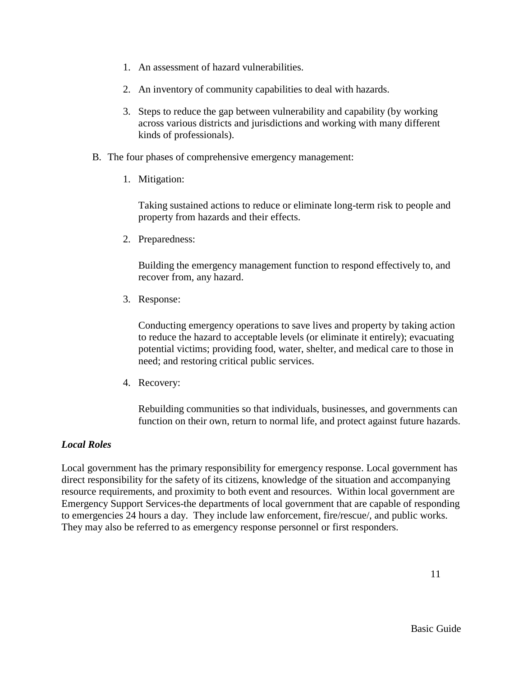- 1. An assessment of hazard vulnerabilities.
- 2. An inventory of community capabilities to deal with hazards.
- 3. Steps to reduce the gap between vulnerability and capability (by working across various districts and jurisdictions and working with many different kinds of professionals).
- B. The four phases of comprehensive emergency management:
	- 1. Mitigation:

Taking sustained actions to reduce or eliminate long-term risk to people and property from hazards and their effects.

2. Preparedness:

Building the emergency management function to respond effectively to, and recover from, any hazard.

3. Response:

Conducting emergency operations to save lives and property by taking action to reduce the hazard to acceptable levels (or eliminate it entirely); evacuating potential victims; providing food, water, shelter, and medical care to those in need; and restoring critical public services.

4. Recovery:

Rebuilding communities so that individuals, businesses, and governments can function on their own, return to normal life, and protect against future hazards.

## *Local Roles*

Local government has the primary responsibility for emergency response. Local government has direct responsibility for the safety of its citizens, knowledge of the situation and accompanying resource requirements, and proximity to both event and resources. Within local government are Emergency Support Services-the departments of local government that are capable of responding to emergencies 24 hours a day. They include law enforcement, fire/rescue/, and public works. They may also be referred to as emergency response personnel or first responders.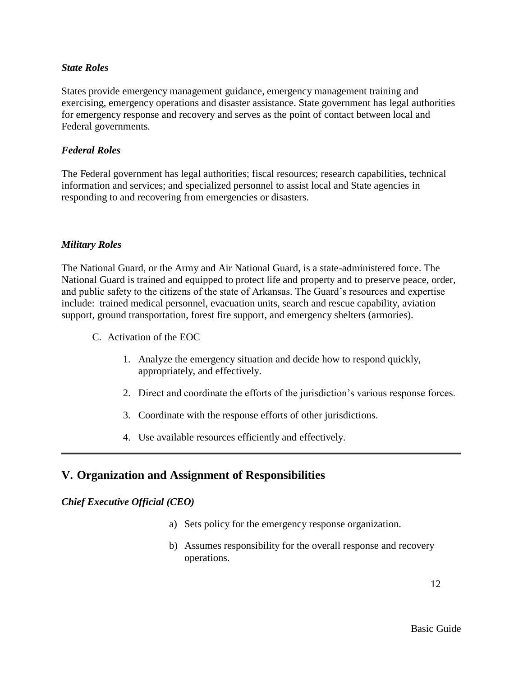#### *State Roles*

States provide emergency management guidance, emergency management training and exercising, emergency operations and disaster assistance. State government has legal authorities for emergency response and recovery and serves as the point of contact between local and Federal governments.

#### *Federal Roles*

The Federal government has legal authorities; fiscal resources; research capabilities, technical information and services; and specialized personnel to assist local and State agencies in responding to and recovering from emergencies or disasters.

#### *Military Roles*

The National Guard, or the Army and Air National Guard, is a state-administered force. The National Guard is trained and equipped to protect life and property and to preserve peace, order, and public safety to the citizens of the state of Arkansas. The Guard's resources and expertise include: trained medical personnel, evacuation units, search and rescue capability, aviation support, ground transportation, forest fire support, and emergency shelters (armories).

- C. Activation of the EOC
	- 1. Analyze the emergency situation and decide how to respond quickly, appropriately, and effectively.
	- 2. Direct and coordinate the efforts of the jurisdiction's various response forces.
	- 3. Coordinate with the response efforts of other jurisdictions.
	- 4. Use available resources efficiently and effectively.

## **V. Organization and Assignment of Responsibilities**

#### *Chief Executive Official (CEO)*

- a) Sets policy for the emergency response organization.
- b) Assumes responsibility for the overall response and recovery operations.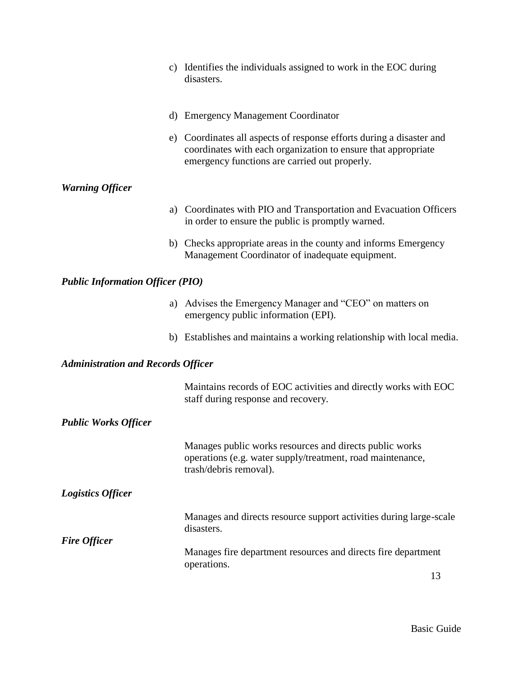|                                           | c) Identifies the individuals assigned to work in the EOC during<br>disasters.                                                                                                         |  |
|-------------------------------------------|----------------------------------------------------------------------------------------------------------------------------------------------------------------------------------------|--|
|                                           | d) Emergency Management Coordinator                                                                                                                                                    |  |
|                                           | e) Coordinates all aspects of response efforts during a disaster and<br>coordinates with each organization to ensure that appropriate<br>emergency functions are carried out properly. |  |
| <b>Warning Officer</b>                    |                                                                                                                                                                                        |  |
|                                           | a) Coordinates with PIO and Transportation and Evacuation Officers<br>in order to ensure the public is promptly warned.                                                                |  |
|                                           | b) Checks appropriate areas in the county and informs Emergency<br>Management Coordinator of inadequate equipment.                                                                     |  |
| <b>Public Information Officer (PIO)</b>   |                                                                                                                                                                                        |  |
|                                           | a) Advises the Emergency Manager and "CEO" on matters on<br>emergency public information (EPI).                                                                                        |  |
|                                           | b) Establishes and maintains a working relationship with local media.                                                                                                                  |  |
| <b>Administration and Records Officer</b> |                                                                                                                                                                                        |  |
|                                           | Maintains records of EOC activities and directly works with EOC<br>staff during response and recovery.                                                                                 |  |
| <b>Public Works Officer</b>               |                                                                                                                                                                                        |  |
|                                           | Manages public works resources and directs public works<br>operations (e.g. water supply/treatment, road maintenance,<br>trash/debris removal).                                        |  |
| <b>Logistics Officer</b>                  |                                                                                                                                                                                        |  |
|                                           | Manages and directs resource support activities during large-scale<br>disasters.                                                                                                       |  |
| <b>Fire Officer</b>                       | Manages fire department resources and directs fire department<br>operations.                                                                                                           |  |
|                                           | 13                                                                                                                                                                                     |  |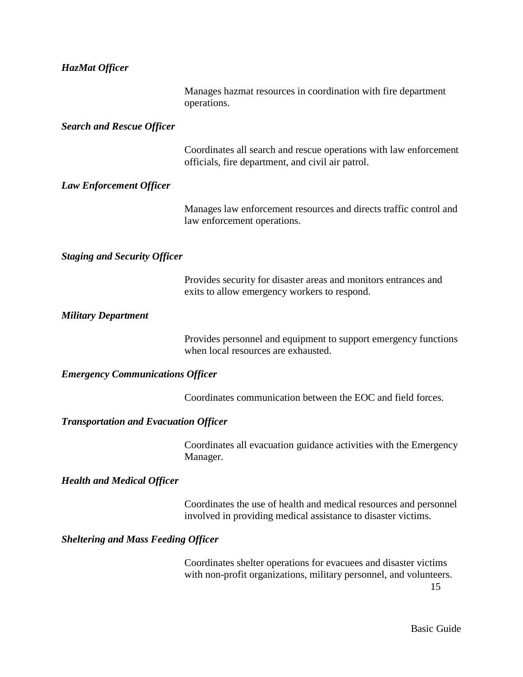# *HazMat Officer*

|                                              | Manages hazmat resources in coordination with fire department<br>operations.                                                                 |
|----------------------------------------------|----------------------------------------------------------------------------------------------------------------------------------------------|
| <b>Search and Rescue Officer</b>             |                                                                                                                                              |
|                                              | Coordinates all search and rescue operations with law enforcement<br>officials, fire department, and civil air patrol.                       |
| <b>Law Enforcement Officer</b>               |                                                                                                                                              |
|                                              | Manages law enforcement resources and directs traffic control and<br>law enforcement operations.                                             |
| <b>Staging and Security Officer</b>          |                                                                                                                                              |
|                                              | Provides security for disaster areas and monitors entrances and<br>exits to allow emergency workers to respond.                              |
| <b>Military Department</b>                   |                                                                                                                                              |
|                                              | Provides personnel and equipment to support emergency functions<br>when local resources are exhausted.                                       |
| <b>Emergency Communications Officer</b>      |                                                                                                                                              |
|                                              | Coordinates communication between the EOC and field forces.                                                                                  |
| <b>Transportation and Evacuation Officer</b> |                                                                                                                                              |
|                                              | Coordinates all evacuation guidance activities with the Emergency<br>Manager.                                                                |
| <b>Health and Medical Officer</b>            |                                                                                                                                              |
|                                              | Coordinates the use of health and medical resources and personnel<br>involved in providing medical assistance to disaster victims.           |
| <b>Sheltering and Mass Feeding Officer</b>   |                                                                                                                                              |
|                                              | Coordinates shelter operations for evacuees and disaster victims<br>with non-profit organizations, military personnel, and volunteers.<br>15 |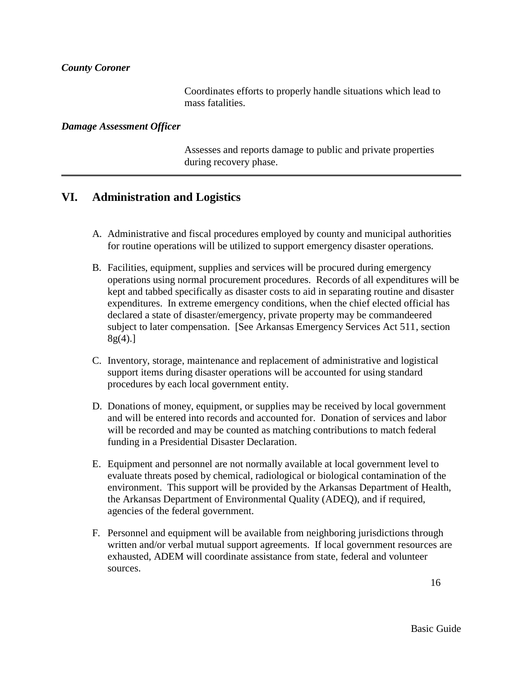#### *County Coroner*

Coordinates efforts to properly handle situations which lead to mass fatalities.

#### *Damage Assessment Officer*

Assesses and reports damage to public and private properties during recovery phase.

## **VI. Administration and Logistics**

- A. Administrative and fiscal procedures employed by county and municipal authorities for routine operations will be utilized to support emergency disaster operations.
- B. Facilities, equipment, supplies and services will be procured during emergency operations using normal procurement procedures. Records of all expenditures will be kept and tabbed specifically as disaster costs to aid in separating routine and disaster expenditures. In extreme emergency conditions, when the chief elected official has declared a state of disaster/emergency, private property may be commandeered subject to later compensation. [See Arkansas Emergency Services Act 511, section  $8g(4).$ ]
- C. Inventory, storage, maintenance and replacement of administrative and logistical support items during disaster operations will be accounted for using standard procedures by each local government entity.
- D. Donations of money, equipment, or supplies may be received by local government and will be entered into records and accounted for. Donation of services and labor will be recorded and may be counted as matching contributions to match federal funding in a Presidential Disaster Declaration.
- E. Equipment and personnel are not normally available at local government level to evaluate threats posed by chemical, radiological or biological contamination of the environment. This support will be provided by the Arkansas Department of Health, the Arkansas Department of Environmental Quality (ADEQ), and if required, agencies of the federal government.
- F. Personnel and equipment will be available from neighboring jurisdictions through written and/or verbal mutual support agreements. If local government resources are exhausted, ADEM will coordinate assistance from state, federal and volunteer sources.